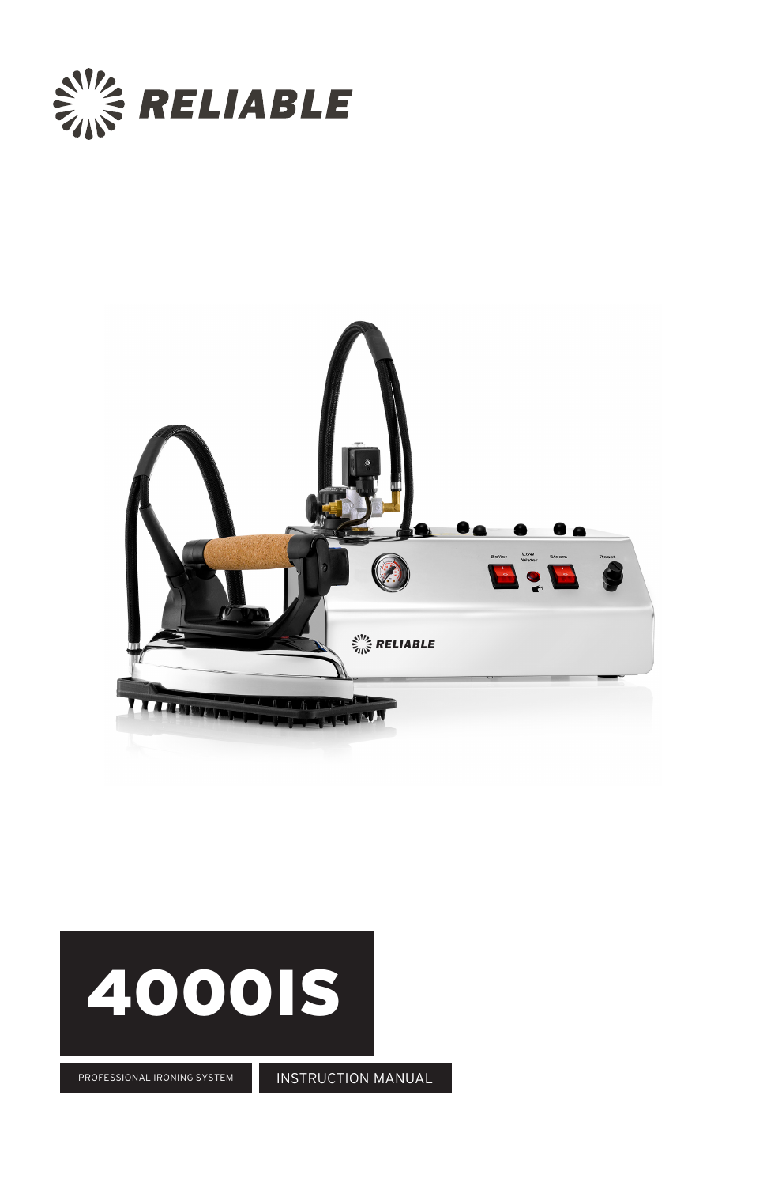





PROFESSIONAL IRONING SYSTEM

INSTRUCTION MANUAL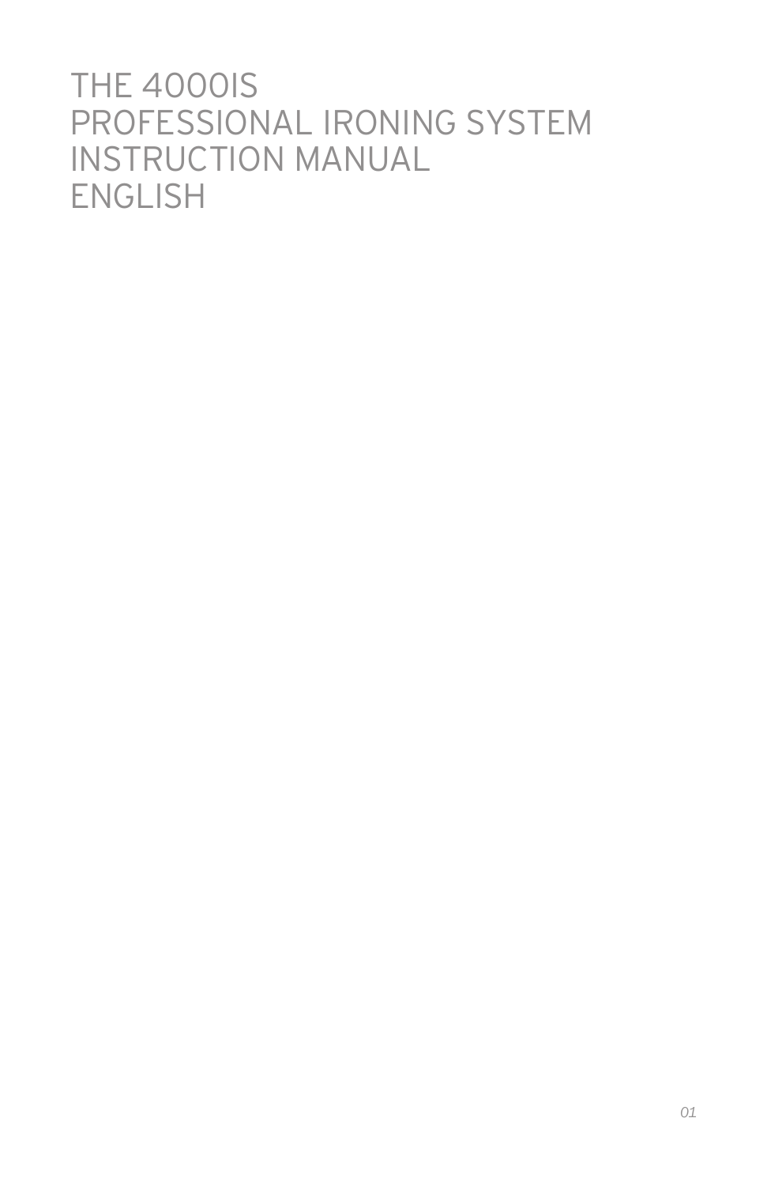# **THE 4000IS** PROFESSIONAL IRONING SYSTEM INSTRUCTION MANUAL ENGLISH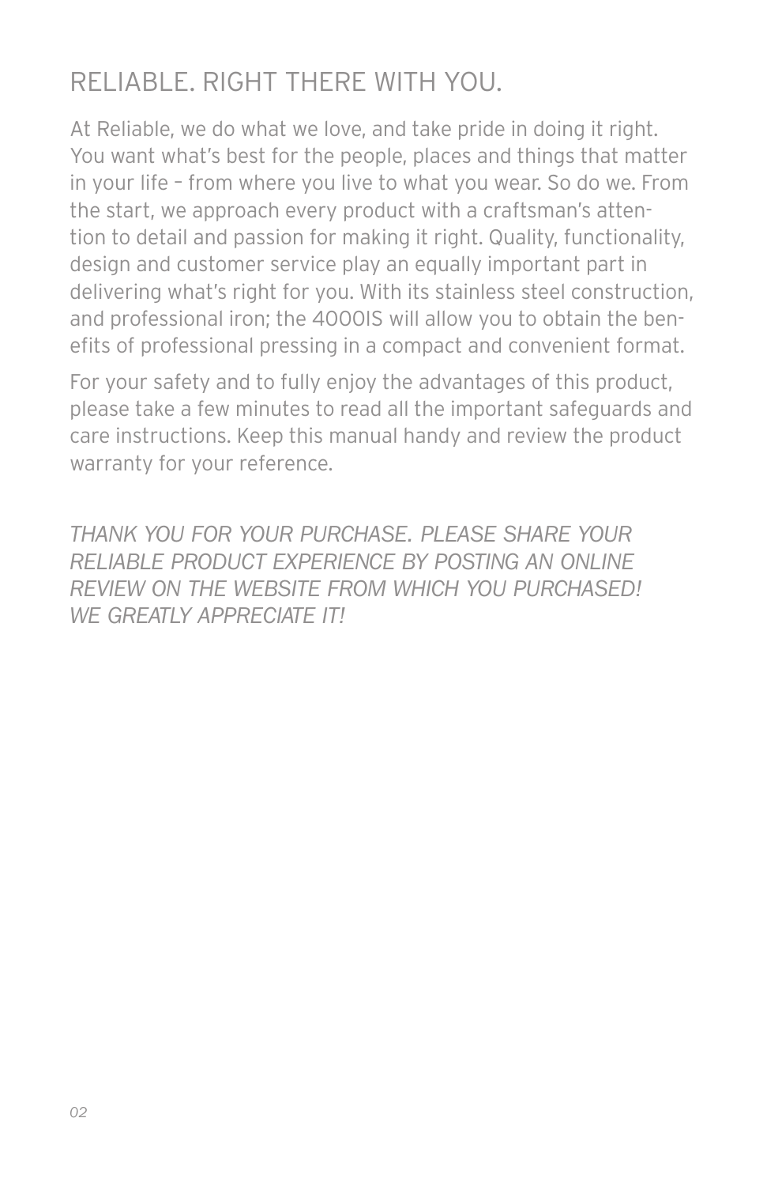## RELIABLE. RIGHT THERE WITH YOU.

At Reliable, we do what we love, and take pride in doing it right. You want what's best for the people, places and things that matter in your life – from where you live to what you wear. So do we. From the start, we approach every product with a craftsman's attention to detail and passion for making it right. Quality, functionality, design and customer service play an equally important part in delivering what's right for you. With its stainless steel construction, and professional iron; the 4000IS will allow you to obtain the benefits of professional pressing in a compact and convenient format.

For your safety and to fully enjoy the advantages of this product, please take a few minutes to read all the important safeguards and care instructions. Keep this manual handy and review the product warranty for your reference.

*THANK YOU FOR YOUR PURCHASE. PLEASE SHARE YOUR RELIABLE PRODUCT EXPERIENCE BY POSTING AN ONLINE REVIEW ON THE WEBSITE FROM WHICH YOU PURCHASED! WE GREATLY APPRECIATE IT!*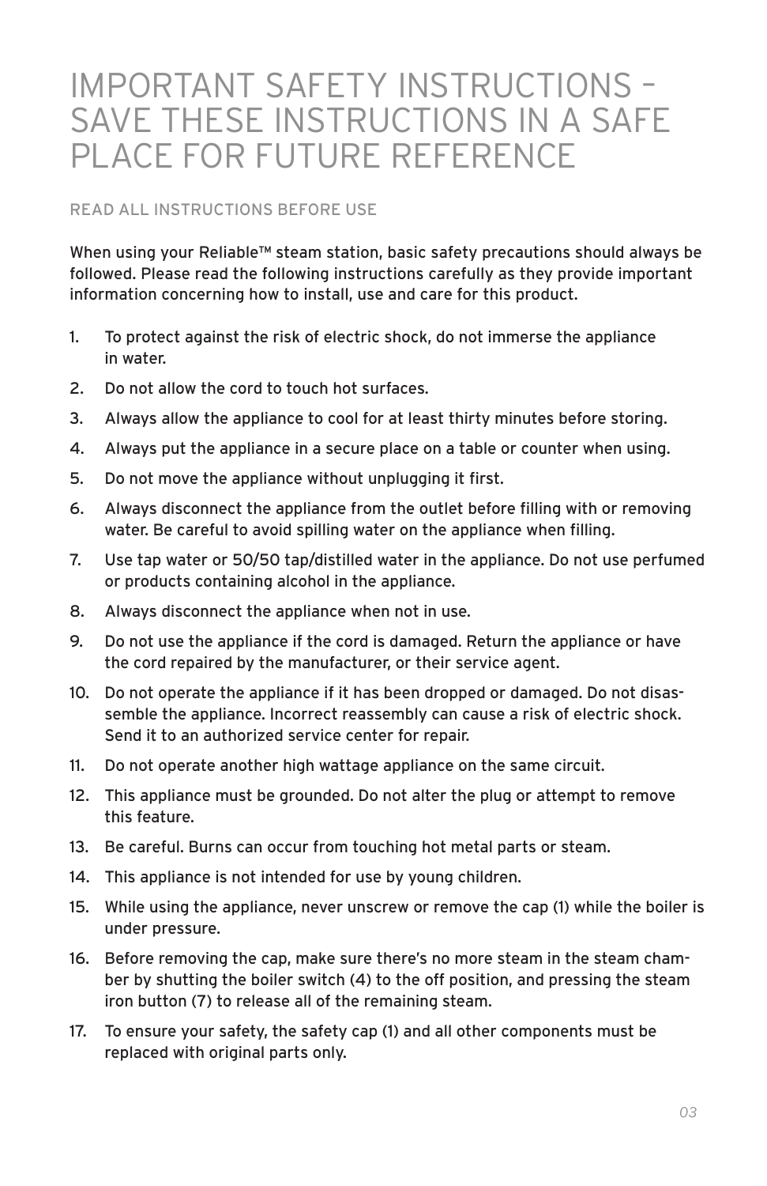# IMPORTANT SAFETY INSTRUCTIONS – SAVE THESE INSTRUCTIONS IN A SAFE PLACE FOR FUTURE REFERENCE

#### READ ALL INSTRUCTIONS BEFORE USE

When using your Reliable™ steam station, basic safety precautions should always be followed. Please read the following instructions carefully as they provide important information concerning how to install, use and care for this product.

- 1. To protect against the risk of electric shock, do not immerse the appliance in water.
- 2. Do not allow the cord to touch hot surfaces.
- 3. Always allow the appliance to cool for at least thirty minutes before storing.
- 4. Always put the appliance in a secure place on a table or counter when using.
- 5. Do not move the appliance without unplugging it first.
- 6. Always disconnect the appliance from the outlet before filling with or removing water. Be careful to avoid spilling water on the appliance when filling.
- 7. Use tap water or 50/50 tap/distilled water in the appliance. Do not use perfumed or products containing alcohol in the appliance.
- 8. Always disconnect the appliance when not in use.
- 9. Do not use the appliance if the cord is damaged. Return the appliance or have the cord repaired by the manufacturer, or their service agent.
- 10. Do not operate the appliance if it has been dropped or damaged. Do not disassemble the appliance. Incorrect reassembly can cause a risk of electric shock. Send it to an authorized service center for repair.
- 11. Do not operate another high wattage appliance on the same circuit.
- 12. This appliance must be grounded. Do not alter the plug or attempt to remove this feature.
- 13. Be careful. Burns can occur from touching hot metal parts or steam.
- 14. This appliance is not intended for use by young children.
- 15. While using the appliance, never unscrew or remove the cap (1) while the boiler is under pressure.
- 16. Before removing the cap, make sure there's no more steam in the steam chamber by shutting the boiler switch (4) to the off position, and pressing the steam iron button (7) to release all of the remaining steam.
- 17. To ensure your safety, the safety cap (1) and all other components must be replaced with original parts only.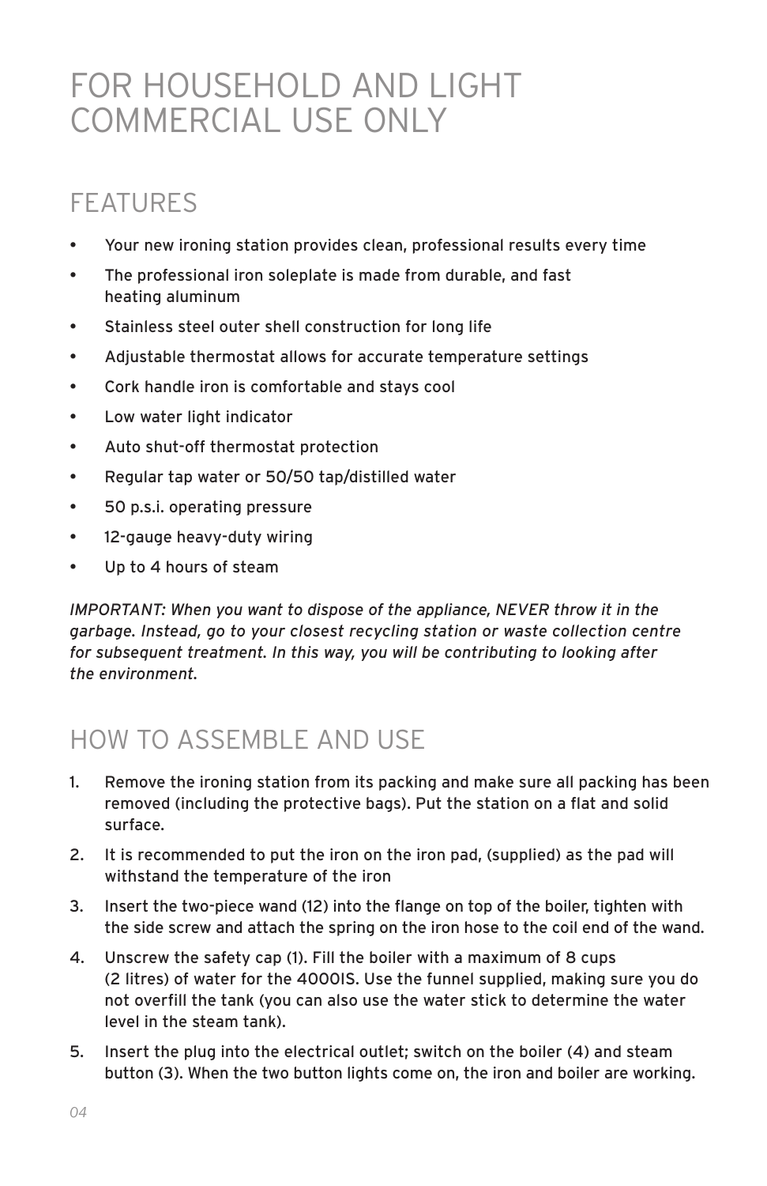# FOR HOUSEHOLD AND LIGHT COMMERCIAL USE ONLY

## FEATURES

- Your new ironing station provides clean, professional results every time
- The professional iron soleplate is made from durable, and fast heating aluminum
- Stainless steel outer shell construction for long life
- Adjustable thermostat allows for accurate temperature settings
- Cork handle iron is comfortable and stays cool
- Low water light indicator
- Auto shut-off thermostat protection
- Regular tap water or 50/50 tap/distilled water
- 50 p.s.i. operating pressure
- 12-gauge heavy-duty wiring
- Up to 4 hours of steam

*IMPORTANT: When you want to dispose of the appliance, NEVER throw it in the garbage. Instead, go to your closest recycling station or waste collection centre for subsequent treatment. In this way, you will be contributing to looking after the environment.* 

## HOW TO ASSEMBLE AND USE

- 1. Remove the ironing station from its packing and make sure all packing has been removed (including the protective bags). Put the station on a flat and solid surface.
- 2. It is recommended to put the iron on the iron pad, (supplied) as the pad will withstand the temperature of the iron
- 3. Insert the two-piece wand (12) into the flange on top of the boiler, tighten with the side screw and attach the spring on the iron hose to the coil end of the wand.
- 4. Unscrew the safety cap (1). Fill the boiler with a maximum of 8 cups (2 litres) of water for the 4000IS. Use the funnel supplied, making sure you do not overfill the tank (you can also use the water stick to determine the water level in the steam tank).
- 5. Insert the plug into the electrical outlet; switch on the boiler (4) and steam button (3). When the two button lights come on, the iron and boiler are working.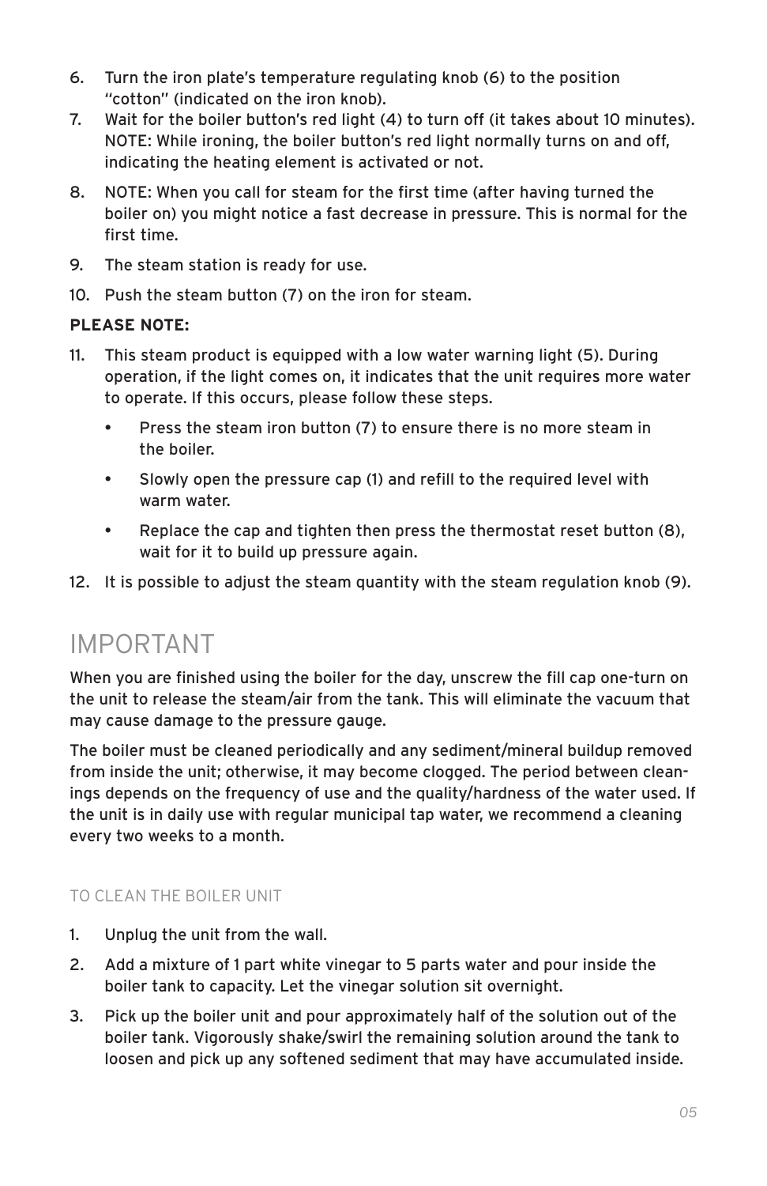- 6. Turn the iron plate's temperature regulating knob (6) to the position "cotton" (indicated on the iron knob).
- 7. Wait for the boiler button's red light (4) to turn off (it takes about 10 minutes). NOTE: While ironing, the boiler button's red light normally turns on and off, indicating the heating element is activated or not.
- 8. NOTE: When you call for steam for the first time (after having turned the boiler on) you might notice a fast decrease in pressure. This is normal for the first time.
- 9. The steam station is ready for use.
- 10. Push the steam button (7) on the iron for steam.

#### **PLEASE NOTE:**

- 11. This steam product is equipped with a low water warning light (5). During operation, if the light comes on, it indicates that the unit requires more water to operate. If this occurs, please follow these steps.
	- Press the steam iron button (7) to ensure there is no more steam in the boiler.
	- Slowly open the pressure cap (1) and refill to the required level with warm water.
	- Replace the cap and tighten then press the thermostat reset button (8), wait for it to build up pressure again.

12. It is possible to adjust the steam quantity with the steam regulation knob (9).

#### IMPORTANT

When you are finished using the boiler for the day, unscrew the fill cap one-turn on the unit to release the steam/air from the tank. This will eliminate the vacuum that may cause damage to the pressure gauge.

The boiler must be cleaned periodically and any sediment/mineral buildup removed from inside the unit; otherwise, it may become clogged. The period between cleanings depends on the frequency of use and the quality/hardness of the water used. If the unit is in daily use with regular municipal tap water, we recommend a cleaning every two weeks to a month.

#### TO CLEAN THE BOILER UNIT

- 1. Unplug the unit from the wall.
- 2. Add a mixture of 1 part white vinegar to 5 parts water and pour inside the boiler tank to capacity. Let the vinegar solution sit overnight.
- 3. Pick up the boiler unit and pour approximately half of the solution out of the boiler tank. Vigorously shake/swirl the remaining solution around the tank to loosen and pick up any softened sediment that may have accumulated inside.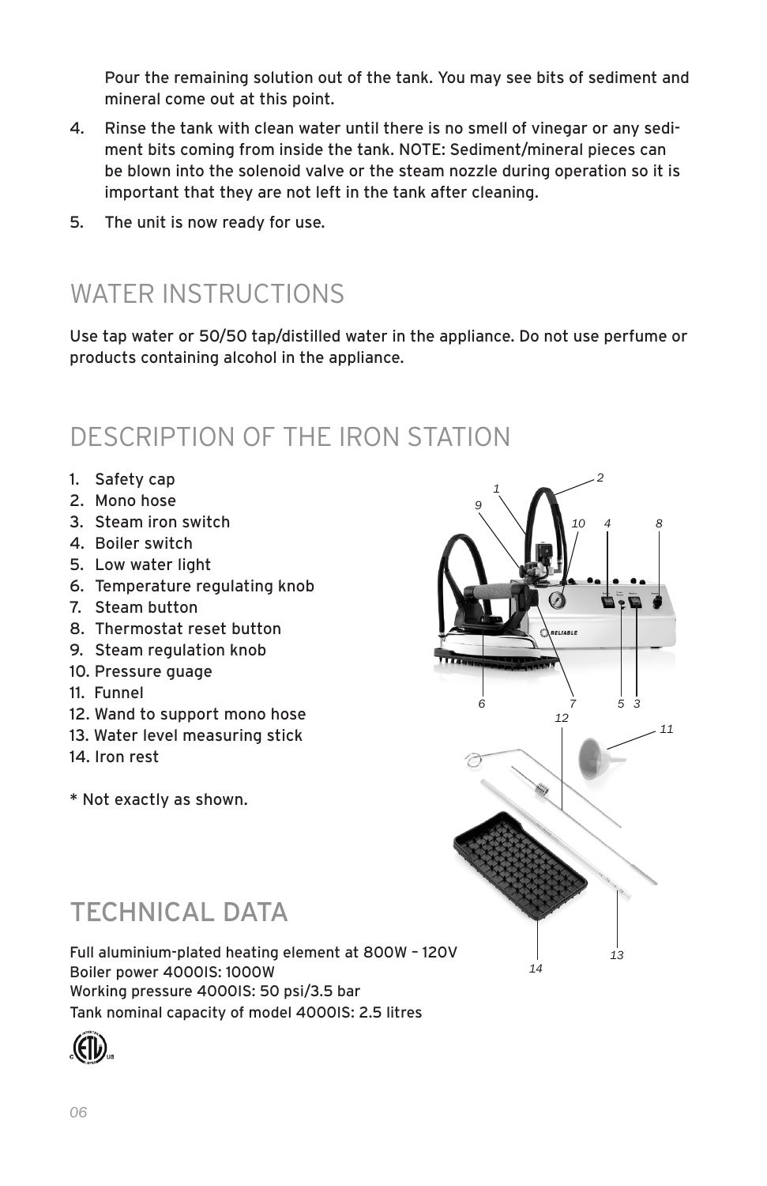Pour the remaining solution out of the tank. You may see bits of sediment and mineral come out at this point.

- 4. Rinse the tank with clean water until there is no smell of vinegar or any sediment bits coming from inside the tank. NOTE: Sediment/mineral pieces can be blown into the solenoid valve or the steam nozzle during operation so it is important that they are not left in the tank after cleaning.
- 5. The unit is now ready for use.

### WATER INSTRUCTIONS

Use tap water or 50/50 tap/distilled water in the appliance. Do not use perfume or products containing alcohol in the appliance.

### DESCRIPTION OF THE IRON STATION

- 1. Safety cap
- 2. Mono hose
- 3. Steam iron switch
- 4. Boiler switch
- 5. Low water light
- 6. Temperature regulating knob
- 7. Steam button
- 8. Thermostat reset button
- 9. Steam regulation knob
- 10. Pressure guage
- 11. Funnel
- 12. Wand to support mono hose
- 13. Water level measuring stick
- 14. Iron rest
- \* Not exactly as shown.



### TECHNICAL DATA

Full aluminium-plated heating element at 800W – 120V Boiler power 4000IS: 1000W Working pressure 4000IS: 50 psi/3.5 bar Tank nominal capacity of model 4000IS: 2.5 litres

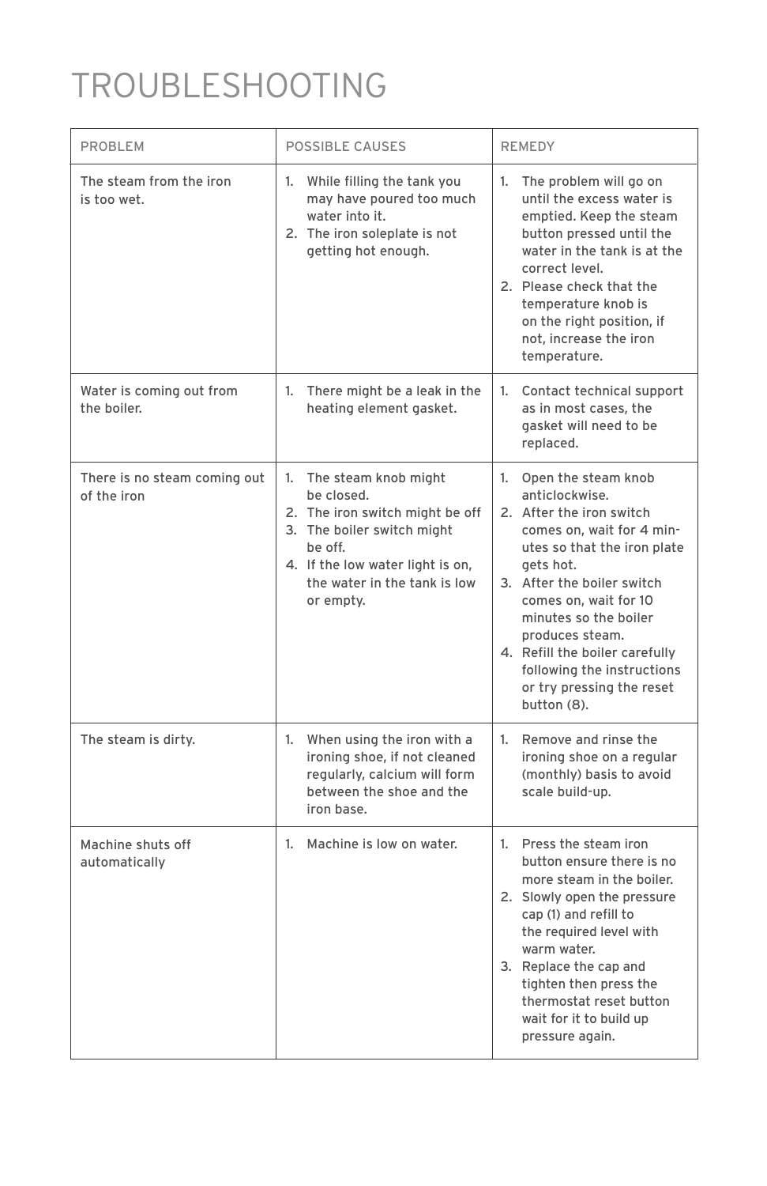# TROUBLESHOOTING

| PROBLEM                                     | POSSIBLE CAUSES                                                                                                                                                                                    | <b>REMEDY</b>                                                                                                                                                                                                                                                                                                                                                |
|---------------------------------------------|----------------------------------------------------------------------------------------------------------------------------------------------------------------------------------------------------|--------------------------------------------------------------------------------------------------------------------------------------------------------------------------------------------------------------------------------------------------------------------------------------------------------------------------------------------------------------|
| The steam from the iron<br>is too wet.      | 1. While filling the tank you<br>may have poured too much<br>water into it.<br>2. The iron soleplate is not<br>getting hot enough.                                                                 | The problem will go on<br>1.<br>until the excess water is<br>emptied. Keep the steam<br>button pressed until the<br>water in the tank is at the<br>correct level.<br>2. Please check that the<br>temperature knob is<br>on the right position, if<br>not, increase the iron<br>temperature.                                                                  |
| Water is coming out from<br>the boiler.     | 1. There might be a leak in the<br>heating element gasket.                                                                                                                                         | 1. Contact technical support<br>as in most cases, the<br>gasket will need to be<br>replaced.                                                                                                                                                                                                                                                                 |
| There is no steam coming out<br>of the iron | 1. The steam knob might<br>be closed.<br>2. The iron switch might be off<br>3. The boiler switch might<br>be off.<br>4. If the low water light is on,<br>the water in the tank is low<br>or empty. | 1. Open the steam knob<br>anticlockwise.<br>2. After the iron switch<br>comes on, wait for 4 min-<br>utes so that the iron plate<br>gets hot.<br>3. After the boiler switch<br>comes on, wait for 10<br>minutes so the boiler<br>produces steam.<br>4. Refill the boiler carefully<br>following the instructions<br>or try pressing the reset<br>button (8). |
| The steam is dirty.                         | 1. When using the iron with a<br>ironing shoe, if not cleaned<br>regularly, calcium will form<br>between the shoe and the<br>iron base.                                                            | 1. Remove and rinse the<br>ironing shoe on a regular<br>(monthly) basis to avoid<br>scale build-up.                                                                                                                                                                                                                                                          |
| Machine shuts off<br>automatically          | 1. Machine is low on water.                                                                                                                                                                        | 1. Press the steam iron<br>button ensure there is no<br>more steam in the boiler.<br>2. Slowly open the pressure<br>cap (1) and refill to<br>the required level with<br>warm water.<br>3. Replace the cap and<br>tighten then press the<br>thermostat reset button<br>wait for it to build up<br>pressure again.                                             |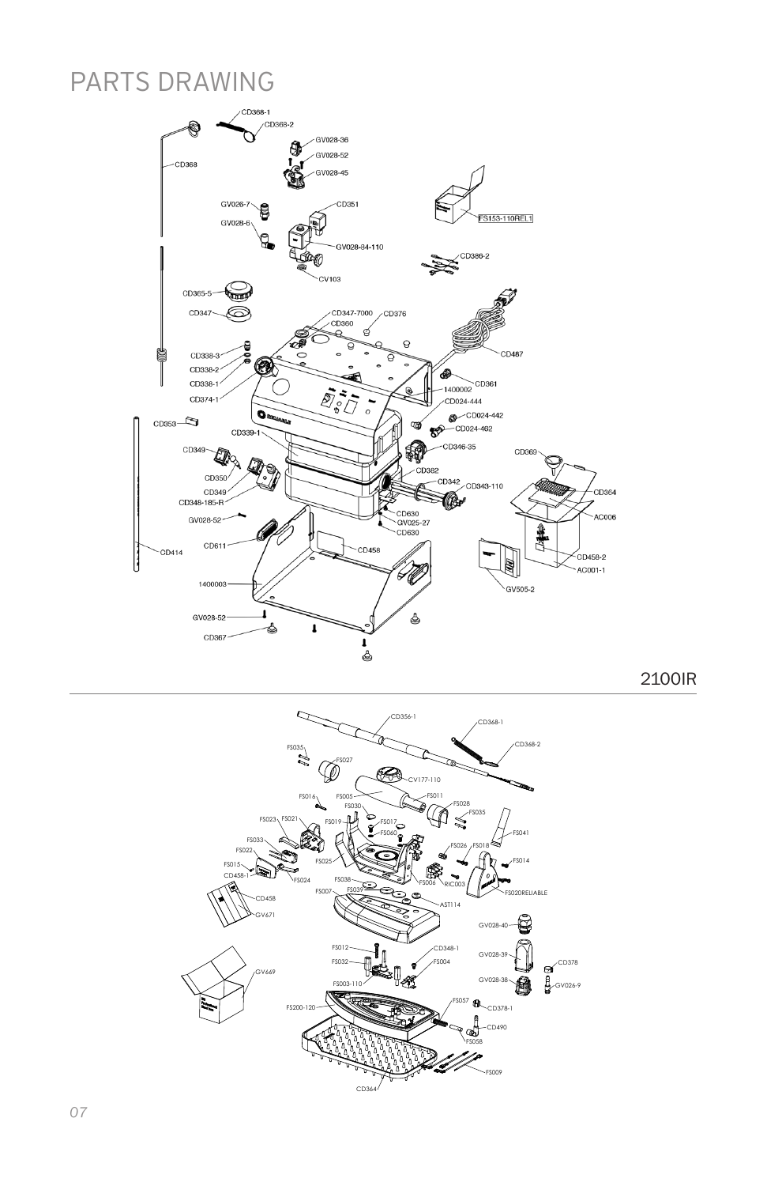### PARTS DRAWING



2100IR

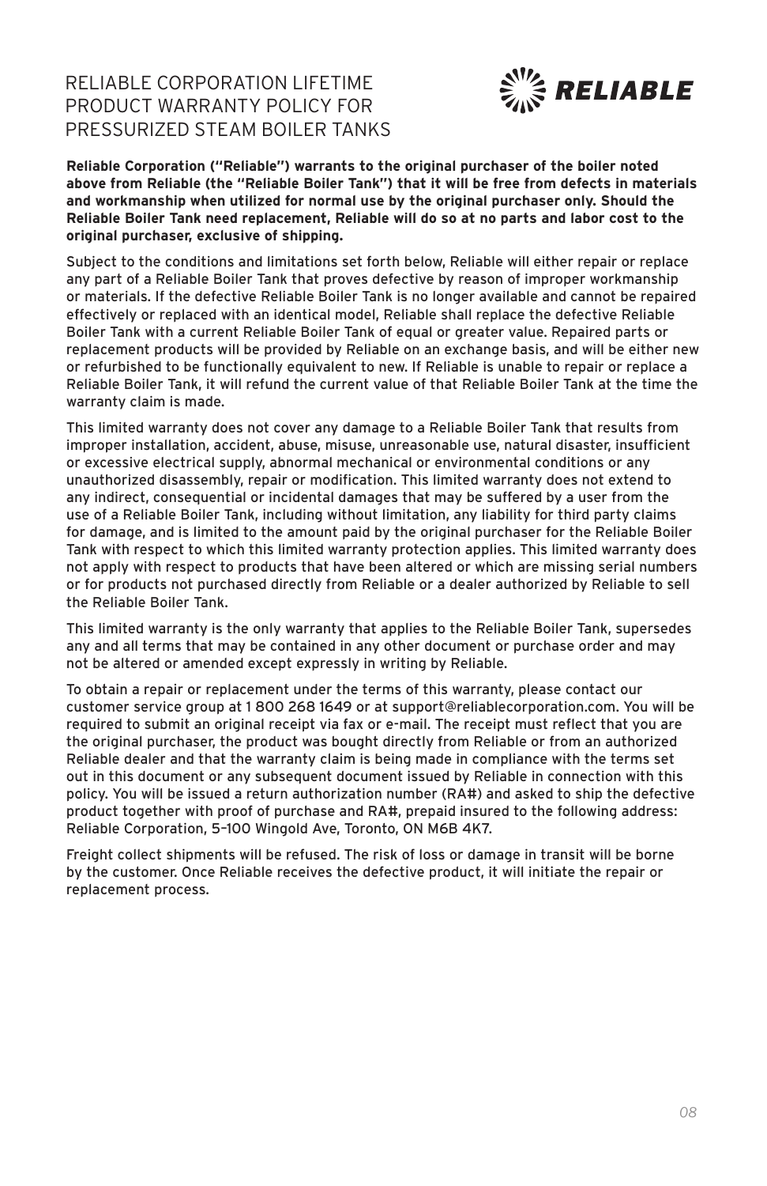RELIABLE CORPORATION LIFETIME PRODUCT WARRANTY POLICY FOR PRESSURIZED STEAM BOILER TANKS



**Reliable Corporation ("Reliable") warrants to the original purchaser of the boiler noted above from Reliable (the "Reliable Boiler Tank") that it will be free from defects in materials and workmanship when utilized for normal use by the original purchaser only. Should the Reliable Boiler Tank need replacement, Reliable will do so at no parts and labor cost to the original purchaser, exclusive of shipping.** 

Subject to the conditions and limitations set forth below, Reliable will either repair or replace any part of a Reliable Boiler Tank that proves defective by reason of improper workmanship or materials. If the defective Reliable Boiler Tank is no longer available and cannot be repaired effectively or replaced with an identical model, Reliable shall replace the defective Reliable Boiler Tank with a current Reliable Boiler Tank of equal or greater value. Repaired parts or replacement products will be provided by Reliable on an exchange basis, and will be either new or refurbished to be functionally equivalent to new. If Reliable is unable to repair or replace a Reliable Boiler Tank, it will refund the current value of that Reliable Boiler Tank at the time the warranty claim is made.

This limited warranty does not cover any damage to a Reliable Boiler Tank that results from improper installation, accident, abuse, misuse, unreasonable use, natural disaster, insufficient or excessive electrical supply, abnormal mechanical or environmental conditions or any unauthorized disassembly, repair or modification. This limited warranty does not extend to any indirect, consequential or incidental damages that may be suffered by a user from the use of a Reliable Boiler Tank, including without limitation, any liability for third party claims for damage, and is limited to the amount paid by the original purchaser for the Reliable Boiler Tank with respect to which this limited warranty protection applies. This limited warranty does not apply with respect to products that have been altered or which are missing serial numbers or for products not purchased directly from Reliable or a dealer authorized by Reliable to sell the Reliable Boiler Tank.

This limited warranty is the only warranty that applies to the Reliable Boiler Tank, supersedes any and all terms that may be contained in any other document or purchase order and may not be altered or amended except expressly in writing by Reliable.

To obtain a repair or replacement under the terms of this warranty, please contact our customer service group at 1 800 268 1649 or at support@reliablecorporation.com. You will be required to submit an original receipt via fax or e-mail. The receipt must reflect that you are the original purchaser, the product was bought directly from Reliable or from an authorized Reliable dealer and that the warranty claim is being made in compliance with the terms set out in this document or any subsequent document issued by Reliable in connection with this policy. You will be issued a return authorization number (RA#) and asked to ship the defective product together with proof of purchase and RA#, prepaid insured to the following address: Reliable Corporation, 5–100 Wingold Ave, Toronto, ON M6B 4K7.

Freight collect shipments will be refused. The risk of loss or damage in transit will be borne by the customer. Once Reliable receives the defective product, it will initiate the repair or replacement process.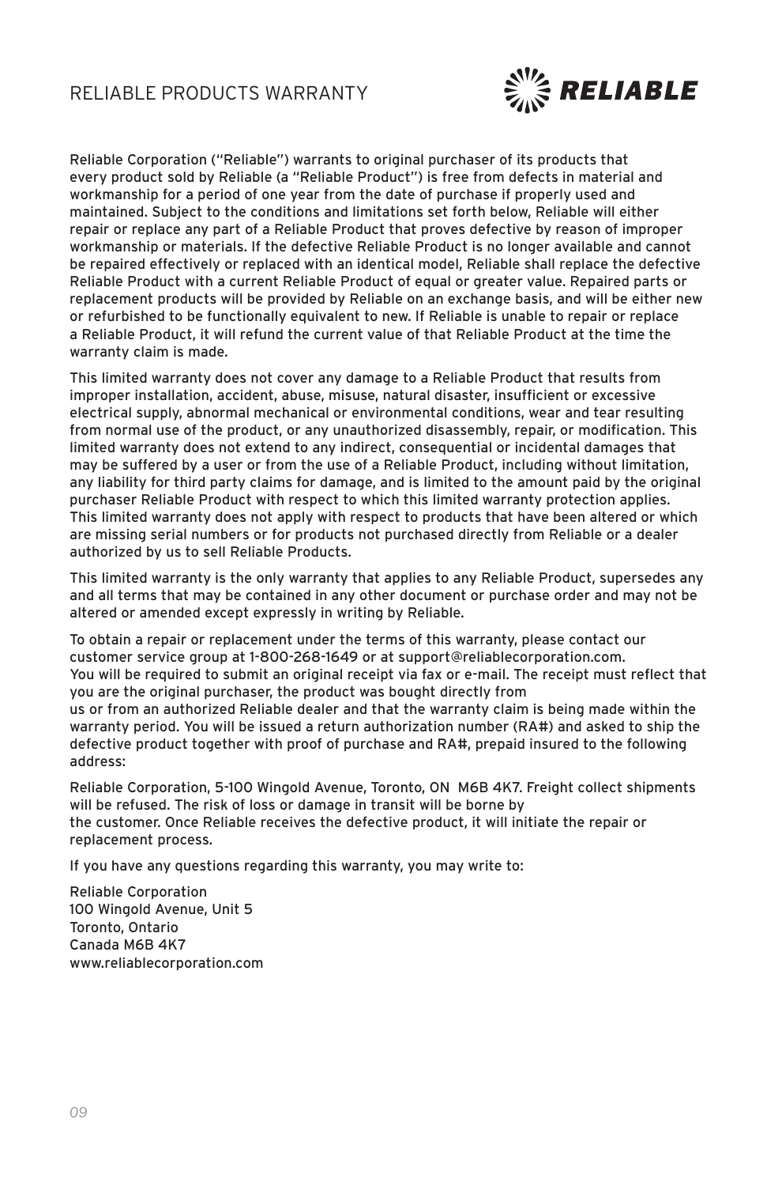

Reliable Corporation ("Reliable") warrants to original purchaser of its products that every product sold by Reliable (a "Reliable Product") is free from defects in material and workmanship for a period of one year from the date of purchase if properly used and maintained. Subject to the conditions and limitations set forth below, Reliable will either repair or replace any part of a Reliable Product that proves defective by reason of improper workmanship or materials. If the defective Reliable Product is no longer available and cannot be repaired effectively or replaced with an identical model, Reliable shall replace the defective Reliable Product with a current Reliable Product of equal or greater value. Repaired parts or replacement products will be provided by Reliable on an exchange basis, and will be either new or refurbished to be functionally equivalent to new. If Reliable is unable to repair or replace a Reliable Product, it will refund the current value of that Reliable Product at the time the warranty claim is made.

This limited warranty does not cover any damage to a Reliable Product that results from improper installation, accident, abuse, misuse, natural disaster, insufficient or excessive electrical supply, abnormal mechanical or environmental conditions, wear and tear resulting from normal use of the product, or any unauthorized disassembly, repair, or modification. This limited warranty does not extend to any indirect, consequential or incidental damages that may be suffered by a user or from the use of a Reliable Product, including without limitation, any liability for third party claims for damage, and is limited to the amount paid by the original purchaser Reliable Product with respect to which this limited warranty protection applies. This limited warranty does not apply with respect to products that have been altered or which are missing serial numbers or for products not purchased directly from Reliable or a dealer authorized by us to sell Reliable Products.

This limited warranty is the only warranty that applies to any Reliable Product, supersedes any and all terms that may be contained in any other document or purchase order and may not be altered or amended except expressly in writing by Reliable.

To obtain a repair or replacement under the terms of this warranty, please contact our customer service group at 1-800-268-1649 or at support@reliablecorporation.com. You will be required to submit an original receipt via fax or e-mail. The receipt must reflect that you are the original purchaser, the product was bought directly from us or from an authorized Reliable dealer and that the warranty claim is being made within the warranty period. You will be issued a return authorization number (RA#) and asked to ship the defective product together with proof of purchase and RA#, prepaid insured to the following address:

Reliable Corporation, 5-100 Wingold Avenue, Toronto, ON M6B 4K7. Freight collect shipments will be refused. The risk of loss or damage in transit will be borne by the customer. Once Reliable receives the defective product, it will initiate the repair or replacement process.

If you have any questions regarding this warranty, you may write to:

Reliable Corporation 100 Wingold Avenue, Unit 5 Toronto, Ontario Canada M6B 4K7 www.reliablecorporation.com